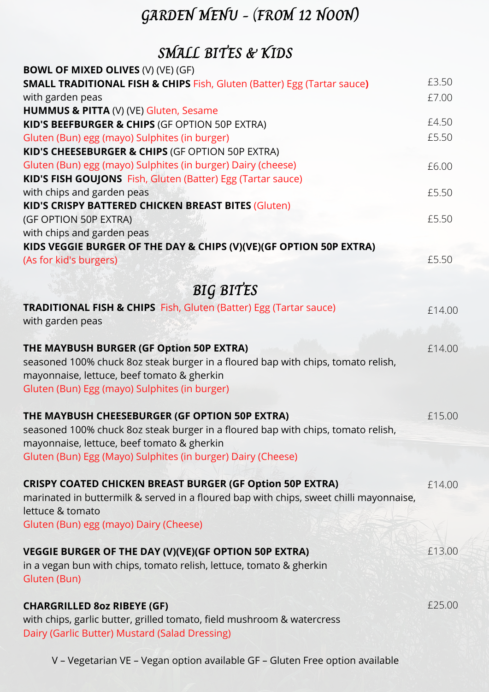# **GARDEN MENU -** (**FROM 12 NOON)**

## **SMALL BITES & KIDS**

| <b>BOWL OF MIXED OLIVES (V) (VE) (GF)</b>                                              |        |
|----------------------------------------------------------------------------------------|--------|
| <b>SMALL TRADITIONAL FISH &amp; CHIPS Fish, Gluten (Batter) Egg (Tartar sauce)</b>     | £3.50  |
| with garden peas                                                                       | £7.00  |
| HUMMUS & PITTA (V) (VE) Gluten, Sesame                                                 |        |
| KID'S BEEFBURGER & CHIPS (GF OPTION 50P EXTRA)                                         | £4.50  |
| Gluten (Bun) egg (mayo) Sulphites (in burger)                                          | £5.50  |
| KID'S CHEESEBURGER & CHIPS (GF OPTION 50P EXTRA)                                       |        |
| Gluten (Bun) egg (mayo) Sulphites (in burger) Dairy (cheese)                           | £6.00  |
| KID'S FISH GOUJONS Fish, Gluten (Batter) Egg (Tartar sauce)                            |        |
| with chips and garden peas                                                             | £5.50  |
| KID'S CRISPY BATTERED CHICKEN BREAST BITES (Gluten)                                    |        |
| (GF OPTION 50P EXTRA)                                                                  | £5.50  |
| with chips and garden peas                                                             |        |
| KIDS VEGGIE BURGER OF THE DAY & CHIPS (V)(VE)(GF OPTION 50P EXTRA)                     |        |
| (As for kid's burgers)                                                                 | £5.50  |
|                                                                                        |        |
| <b>BIG BITES</b>                                                                       |        |
| <b>TRADITIONAL FISH &amp; CHIPS</b> Fish, Gluten (Batter) Egg (Tartar sauce)           | £14.00 |
| with garden peas                                                                       |        |
|                                                                                        |        |
| THE MAYBUSH BURGER (GF Option 50P EXTRA)                                               | £14.00 |
| seasoned 100% chuck 8oz steak burger in a floured bap with chips, tomato relish,       |        |
| mayonnaise, lettuce, beef tomato & gherkin                                             |        |
| Gluten (Bun) Egg (mayo) Sulphites (in burger)                                          |        |
|                                                                                        |        |
| THE MAYBUSH CHEESEBURGER (GF OPTION 50P EXTRA)                                         | £15.00 |
| seasoned 100% chuck 8oz steak burger in a floured bap with chips, tomato relish,       |        |
| mayonnaise, lettuce, beef tomato & gherkin                                             |        |
| Gluten (Bun) Egg (Mayo) Sulphites (in burger) Dairy (Cheese)                           |        |
|                                                                                        |        |
| <b>CRISPY COATED CHICKEN BREAST BURGER (GF Option 50P EXTRA)</b>                       | £14.00 |
| marinated in buttermilk & served in a floured bap with chips, sweet chilli mayonnaise, |        |
| lettuce & tomato                                                                       |        |
| Gluten (Bun) egg (mayo) Dairy (Cheese)                                                 |        |
|                                                                                        |        |
| VEGGIE BURGER OF THE DAY (V)(VE)(GF OPTION 50P EXTRA)                                  | £13.00 |
| in a vegan bun with chips, tomato relish, lettuce, tomato & gherkin                    |        |
| Gluten (Bun)                                                                           |        |
|                                                                                        |        |
| <b>CHARGRILLED 802 RIBEYE (GF)</b>                                                     | £25.00 |
| with chips, garlic butter, grilled tomato, field mushroom & watercress                 |        |
| Dairy (Garlic Butter) Mustard (Salad Dressing)                                         |        |

V – Vegetarian VE – Vegan option available GF – Gluten Free option available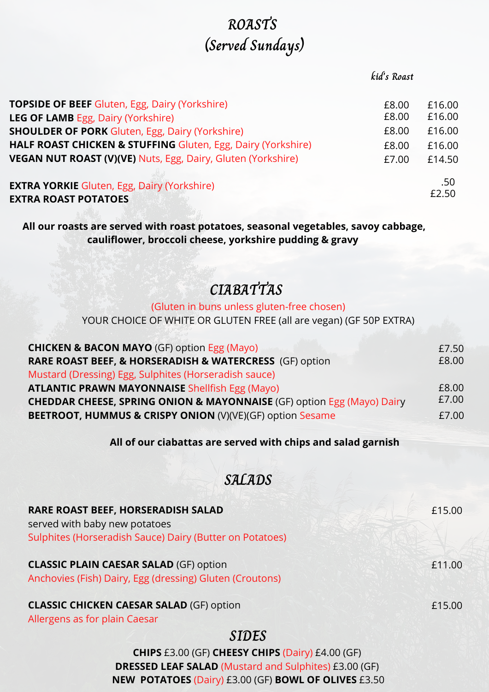## **ROASTS (Served Sundays)**

#### **kid's Roast**

| <b>TOPSIDE OF BEEF Gluten, Egg, Dairy (Yorkshire)</b>                             | £8.00 | £16.00       |
|-----------------------------------------------------------------------------------|-------|--------------|
| <b>LEG OF LAMB Egg, Dairy (Yorkshire)</b>                                         | £8.00 | £16.00       |
| <b>SHOULDER OF PORK Gluten, Egg, Dairy (Yorkshire)</b>                            | £8.00 | £16.00       |
| HALF ROAST CHICKEN & STUFFING Gluten, Egg, Dairy (Yorkshire)                      | £8.00 | £16.00       |
| VEGAN NUT ROAST (V)(VE) Nuts, Egg, Dairy, Gluten (Yorkshire)                      | £7.00 | £14.50       |
| <b>EXTRA YORKIE Gluten, Egg, Dairy (Yorkshire)</b><br><b>EXTRA ROAST POTATOES</b> |       | .50<br>£2.50 |

**All our roasts are served with roast potatoes, seasonal vegetables, savoy cabbage, cauliflower, broccoli cheese, yorkshire pudding & gravy**

## **CIABATTAS**

### (Gluten in buns unless gluten-free chosen)

YOUR CHOICE OF WHITE OR GLUTEN FREE (all are vegan) (GF 50P EXTRA)

| <b>CHICKEN &amp; BACON MAYO</b> (GF) option Egg (Mayo)                            | £7.50 |
|-----------------------------------------------------------------------------------|-------|
| <b>RARE ROAST BEEF, &amp; HORSERADISH &amp; WATERCRESS</b> (GF) option            | £8.00 |
| Mustard (Dressing) Egg, Sulphites (Horseradish sauce)                             |       |
| <b>ATLANTIC PRAWN MAYONNAISE</b> Shellfish Egg (Mayo)                             | £8.00 |
| <b>CHEDDAR CHEESE, SPRING ONION &amp; MAYONNAISE</b> (GF) option Egg (Mayo) Dairy | £7.00 |
| BEETROOT, HUMMUS & CRISPY ONION (V)(VE)(GF) option Sesame                         | £7.00 |

#### **All of our ciabattas are served with chips and salad garnish**

### **SALADS**

| RARE ROAST BEEF, HORSERADISH SALAD<br>served with baby new potatoes<br>Sulphites (Horseradish Sauce) Dairy (Butter on Potatoes) | £15.00 |
|---------------------------------------------------------------------------------------------------------------------------------|--------|
| <b>CLASSIC PLAIN CAESAR SALAD (GF) option</b><br>Anchovies (Fish) Dairy, Egg (dressing) Gluten (Croutons)                       | £11.00 |
| <b>CLASSIC CHICKEN CAESAR SALAD (GF) option</b><br>Allergens as for plain Caesar                                                | £15.00 |

### **SIDES**

**CHIPS** £3.00 (GF) **CHEESY CHIPS** (Dairy) £4.00 (GF) **DRESSED LEAF SALAD** (Mustard and Sulphites) £3.00 (GF) **NEW POTATOES** (Dairy) £3.00 (GF) **BOWL OF OLIVES** £3.50